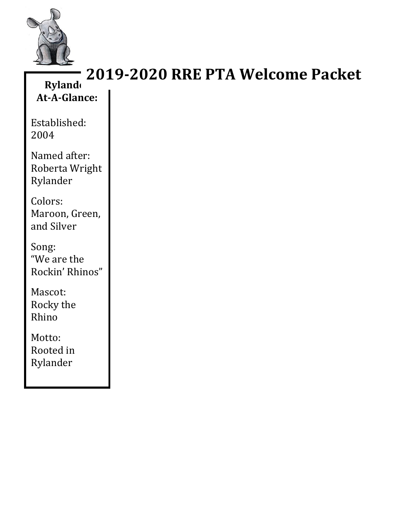

### **Ryland At-A-Glance: 2019-2020 RRE PTA Welcome Packet**

Established: 2004

Named after: Roberta Wright Rylander

Colors: Maroon, Green, and Silver

Song: "We are the Rockin' Rhinos"

Mascot: Rocky the Rhino

Motto: Rooted in Rylander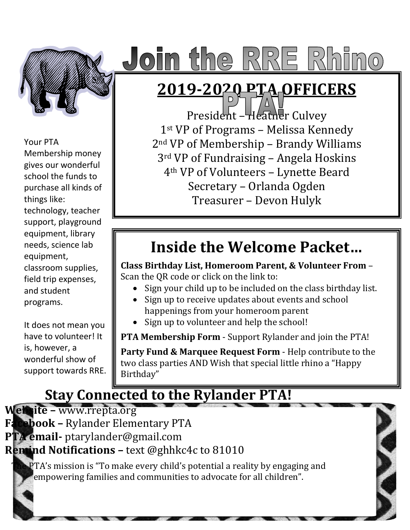

# $\bullet$ im the RRE Rhimo

## **2019-2020 PTA OFFICERS**

Your PTA

Membership money gives our wonderful school the funds to purchase all kinds of things like:

technology, teacher support, playground equipment, library needs, science lab equipment, classroom supplies, field trip expenses, and student

programs.

It does not mean you have to volunteer! It is, however, a wonderful show of support towards RRE.

President – Heather Culvey 1st VP of Programs – Melissa Kennedy 2nd VP of Membership – Brandy Williams 3rd VP of Fundraising – Angela Hoskins 4th VP of Volunteers – Lynette Beard Secretary – Orlanda Ogden Treasurer – Devon Hulyk

## **Inside the Welcome Packet…**

**Class Birthday List, Homeroom Parent, & Volunteer From** – Scan the QR code or click on the link to:

- Sign your child up to be included on the class birthday list.
- Sign up to receive updates about events and school happenings from your homeroom parent
- Sign up to volunteer and help the school!

**PTA Membership Form** - Support Rylander and join the PTA!

**Party Fund & Marquee Request Form** - Help contribute to the two class parties AND Wish that special little rhino a "Happy Birthday"

## **Stay Connected to the Rylander PTA!**

**Website –** [www.rrepta.org](http://www.rrepta.org/) **Facebook –** Rylander Elementary PTA **PTA email-** [ptarylander@gmail.com](mailto:ptarylander@gmail.com) **Remind Notifications –** text @ghhkc4c to 81010 PTA's mission is "To make every child's potential a reality by engaging and empowering families and communities to advocate for all children".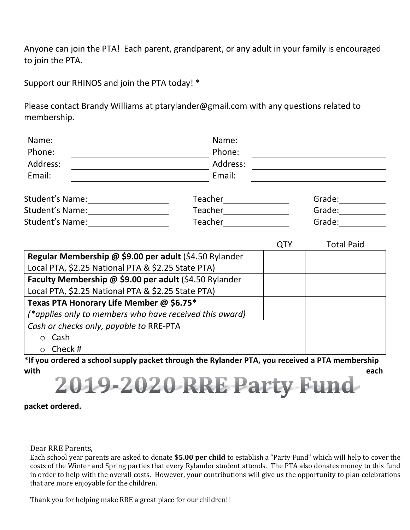Anyone can join the PTA! Each parent, grandparent, or any adult in your family is encouraged to join the PTA.

Support our RHINOS and join the PTA today! \*

Please contact Brandy Williams at ptarylander@gmail.com with any questions related to membership.

| Name:                                                                      | Name:                                                                                          |            |                   |  |
|----------------------------------------------------------------------------|------------------------------------------------------------------------------------------------|------------|-------------------|--|
| Phone:                                                                     | Phone:                                                                                         |            |                   |  |
| Address:                                                                   | Address:                                                                                       |            |                   |  |
| Email:                                                                     | Email:                                                                                         |            |                   |  |
|                                                                            |                                                                                                |            | Grade:            |  |
| Student's Name:<br><u> and Conserverse and Conserverse and Conserverse</u> |                                                                                                |            | Grade:            |  |
| Student's Name:<br><u> </u>                                                |                                                                                                |            | Grade:            |  |
|                                                                            |                                                                                                | <b>QTY</b> | <b>Total Paid</b> |  |
| Regular Membership @ \$9.00 per adult (\$4.50 Rylander                     |                                                                                                |            |                   |  |
| Local PTA, \$2.25 National PTA & \$2.25 State PTA)                         |                                                                                                |            |                   |  |
| Faculty Membership @ \$9.00 per adult (\$4.50 Rylander                     |                                                                                                |            |                   |  |
| Local PTA, \$2.25 National PTA & \$2.25 State PTA)                         |                                                                                                |            |                   |  |
| Texas PTA Honorary Life Member @ \$6.75*                                   |                                                                                                |            |                   |  |
| (*applies only to members who have received this award)                    |                                                                                                |            |                   |  |
| Cash or checks only, payable to RRE-PTA                                    |                                                                                                |            |                   |  |
| $\circ$ Cash                                                               |                                                                                                |            |                   |  |
| $\circ$ Check #                                                            |                                                                                                |            |                   |  |
|                                                                            | *If you ordered a school supply packet through the Rylander PTA, you received a PTA membership |            |                   |  |
| with                                                                       |                                                                                                |            | each              |  |

**packet ordered.**

Dear RRE Parents,

Each school year parents are asked to donate **\$5.00 per child** to establish a "Party Fund" which will help to cover the costs of the Winter and Spring parties that every Rylander student attends. The PTA also donates money to this fund in order to help with the overall costs. However, your contributions will give us the opportunity to plan celebrations that are more enjoyable for the children.

Thank you for helping make RRE a great place for our children!!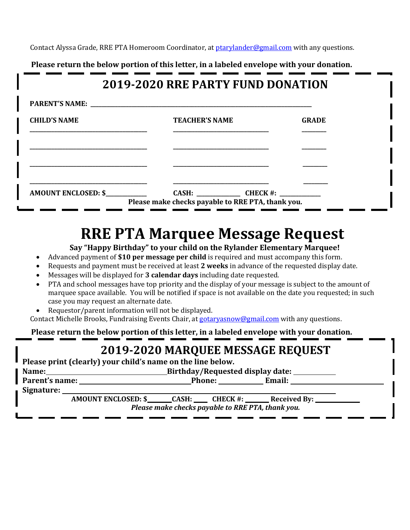Contact Alyssa Grade, RRE PTA Homeroom Coordinator, at [ptarylander@gmail.com](mailto:ptarylander@gmail.com) with any questions.

 **Please return the below portion of this letter, in a labeled envelope with your donation.**

### **2019-2020 RRE PARTY FUND DONATION**

| PARENT'S NAME: NAME: |                                                   |              |
|----------------------|---------------------------------------------------|--------------|
| <b>CHILD'S NAME</b>  | <b>TEACHER'S NAME</b>                             | <b>GRADE</b> |
|                      |                                                   |              |
|                      |                                                   |              |
|                      |                                                   |              |
| AMOUNT ENCLOSED: \$  |                                                   |              |
|                      | Please make checks payable to RRE PTA, thank you. |              |

## **RRE PTA Marquee Message Request**

**Say "Happy Birthday" to your child on the Rylander Elementary Marquee!**

- Advanced payment of **\$10 per message per child** is required and must accompany this form.
- Requests and payment must be received at least **2 weeks** in advance of the requested display date.
- Messages will be displayed for **3 calendar days** including date requested.
- PTA and school messages have top priority and the display of your message is subject to the amount of marquee space available. You will be notified if space is not available on the date you requested; in such case you may request an alternate date.
- Requestor/parent information will not be displayed.

Contact Michelle Brooks, Fundraising Events Chair, at [gotaryasnow@gmail.com](mailto:gotaryasnow@gmail.com) with any questions.

 **Please return the below portion of this letter, in a labeled envelope with your donation.**

### **2019-2020 MARQUEE MESSAGE REQUEST**

**Please print (clearly) your child's name on the line below.**

| Name:                                             |                                                                                    | Birthday/Requested display date: |  |        |  |  |
|---------------------------------------------------|------------------------------------------------------------------------------------|----------------------------------|--|--------|--|--|
| Parent's name:                                    |                                                                                    |                                  |  | Email: |  |  |
| Signature:                                        |                                                                                    |                                  |  |        |  |  |
|                                                   | AMOUNT ENCLOSED: \$ _______ CASH: _______ CHECK #: ________ Received By: _________ |                                  |  |        |  |  |
| Please make checks payable to RRE PTA, thank you. |                                                                                    |                                  |  |        |  |  |